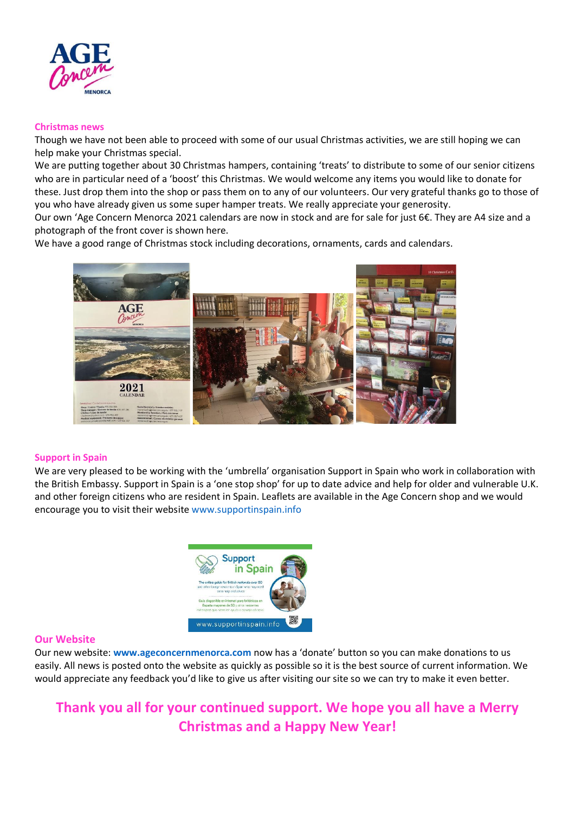

#### **Christmas news**

Though we have not been able to proceed with some of our usual Christmas activities, we are still hoping we can help make your Christmas special.

We are putting together about 30 Christmas hampers, containing 'treats' to distribute to some of our senior citizens who are in particular need of a 'boost' this Christmas. We would welcome any items you would like to donate for these. Just drop them into the shop or pass them on to any of our volunteers. Our very grateful thanks go to those of you who have already given us some super hamper treats. We really appreciate your generosity.

Our own 'Age Concern Menorca 2021 calendars are now in stock and are for sale for just 6€. They are A4 size and a photograph of the front cover is shown here.

We have a good range of Christmas stock including decorations, ornaments, cards and calendars.



#### **Support in Spain**

We are very pleased to be working with the 'umbrella' organisation Support in Spain who work in collaboration with the British Embassy. Support in Spain is a 'one stop shop' for up to date advice and help for older and vulnerable U.K. and other foreign citizens who are resident in Spain. Leaflets are available in the Age Concern shop and we would encourage you to visit their websit[e www.supportinspain.info](http://www.supportinspain.info/)



#### **Our Website**

Our new website: **[www.ageconcernmenorca.com](http://www.ageconcernmenorca.com/)** now has a 'donate' button so you can make donations to us easily. All news is posted onto the website as quickly as possible so it is the best source of current information. We would appreciate any feedback you'd like to give us after visiting our site so we can try to make it even better.

# **Thank you all for your continued support. We hope you all have a Merry Christmas and a Happy New Year!**